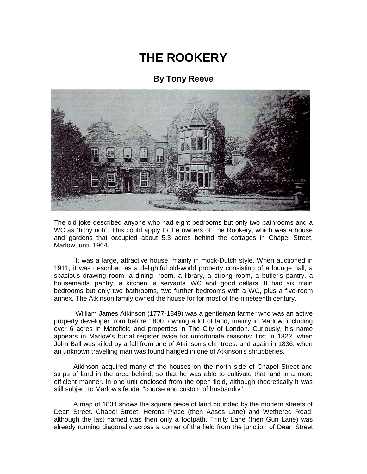## **THE ROOKERY**

## **By Tony Reeve**



The old joke described anyone who had eight bedrooms but only two bathrooms and a WC as "filthy rich". This could apply to the owners of The Rookery, which was a house and gardens that occupied about 5.3 acres behind the cottages in Chapel Street, Marlow, until 1964.

It was a large, attractive house, mainly in mock-Dutch style. When auctioned in 1911, it was described as a delightful old-world property consisting of a lounge hall, a spacious drawing room, a dining -room, a library, a strong room, a butler's pantry, a housemaids' pantry, a kitchen, a servants' WC and good cellars. It had six main bedrooms but only two bathrooms, two further bedrooms with a WC, plus a five-room annex. The Atkinson family owned the house for for most of the nineteenth century.

William James Atkinson (1777-1849) was a gentleman farmer who was an active property developer from before 1800, owning a lot of land, mainly in Marlow, including over 6 acres in Marefield and properties in The City of London. Curiously, his name appears in Marlow's burial register twice for unfortunate reasons: first in 1822. when John Ball was killed by a fall from one of Atkinson's elm trees: and again in 1836, when an unknown travelling man was found hanged in one of Atkinson' s shrubberies.

Atkinson acquired many of the houses on the north side of Chapel Street and strips of land in the area behind, so that he was able to cultivate that land in a more efficient [manner. in](http://manner.in/) one unit enclosed from the open field, although theoretically it was still subject to Marlow's feudal "course and custom of husbandry".

A map of 1834 shows the square piece of land bounded by the modern streets of Dean Street. Chapel Street. Herons Place (then Aases Lane) and Wethered Road, although the last named was then only a footpath. Trinity Lane (then Gun Lane) was already running diagonally across a corner of the field from the junction of Dean Street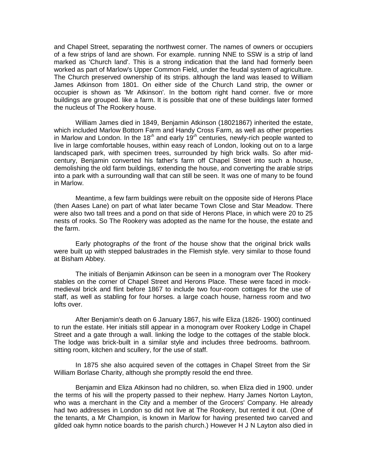and Chapel Street, separating the northwest corner. The names of owners or occupiers of a few strips of land are shown. For example. running NNE to SSW is a strip of land marked as 'Church land'. This is a strong indication that the land had formerly been worked as part of Marlow's Upper Common Field, under the feudal system of agriculture. The Church preserved ownership of its strips. although the land was leased to William James Atkinson from 1801. On either side of the Church Land strip, the owner or occupier is shown as 'Mr Atkinson'. In the bottom right hand corner. five or more buildings are grouped. like a farm. It is possible that one of these buildings later formed the nucleus of The Rookery house.

William James died in 1849, Benjamin Atkinson (18021867) inherited the estate, which included Marlow Bottom Farm and Handy Cross Farm, as well as other properties in Marlow and London. In the 18<sup>th</sup> and early 19<sup>th</sup> centuries, newly-rich people wanted to live in large comfortable houses, within easy reach of London, looking out on to a large landscaped park, with specimen trees, surrounded by high brick walls. So after midcentury, Benjamin converted his father's farm off Chapel Street into such a house, demolishing the old farm buildings, extending the house, and converting the arable strips into a park with a surrounding wall that can still be seen. It was one of many to be found in Marlow.

Meantime, a few farm buildings were rebuilt on the opposite side of Herons Place (then Aases Lane) on part of what later became Town Close and Star Meadow. There were also two tall trees and a pond on that side of Herons Place, in which were 20 to 25 nests of rooks. So The Rookery was adopted as the name for the house, the estate and the farm.

Early photographs *of* the front *of* the house show that the original brick walls were built up with stepped balustrades in the Flemish style. very similar to those found at Bisham Abbey.

The initials of Benjamin Atkinson can be seen in a monogram over The Rookery stables on the corner of Chapel Street and Herons Place. These were faced in mockmedieval brick and flint before 1867 to include two four-room cottages for the use of [staff,](http://staff.as/) as well as stabling for four horses. a large coach house, harness room and two lofts over.

After Benjamin's death on 6 January 1867, his wife Eliza (1826- 1900) continued to run the estate. Her initials still appear in a monogram over Rookery Lodge in Chapel Street and a gate through a wall. linking the lodge to the cottages of the stable block. The lodge was brick-built in a similar style and includes three bedrooms. bathroom. sitting room, kitchen and scullery, for the use of staff.

In 1875 she also acquired seven of the cottages in Chapel Street from the Sir William Borlase Charity, although she promptly resold the end three.

Benjamin and Eliza Atkinson had no children, so. when Eliza died in 1900. under the terms of his will the property passed to their nephew. Harry James Norton Layton, who was a merchant in the City and a member of the Grocers' Company. He already had two addresses in London so did not live at The Rookery, but rented it out. (One of the tenants, a Mr Champion, is known in Marlow for having presented two carved and gilded oak hymn notice boards to the parish church.) However H J N Layton also died in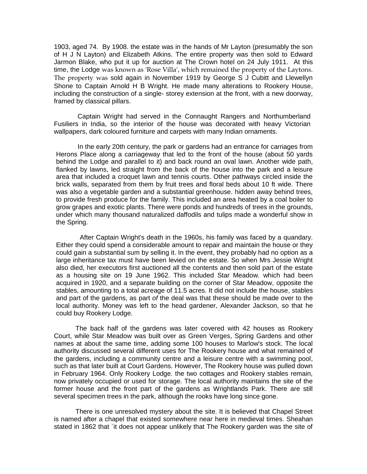1903, aged 74. By 1908. the estate was in the hands of Mr Layton (presumably the son of H J N Layton) and Elizabeth Atkins. The entire property was then sold to Edward Jarmon Blake, who put it up for auction at The Crown hotel on 24 July 1911. At this time, the Lodge was known as 'Rose Villa', which remained the property of the Laytons. The property was sold again in November 1919 by George S J Cubitt and Llewellyn Shone to Captain Arnold H B Wright. He made many alterations to Rookery House, including the construction of a single- storey extension at the front, with a new doorway, framed by classical pillars.

Captain Wright had served in the Connaught Rangers and Northumberland Fusiliers in India, so the interior of the house was decorated with heavy Victorian wallpapers, dark coloured furniture and carpets with many Indian ornaments.

In the early 20th century, the park or gardens had an entrance for carriages from Herons Place along a carriageway that led to the front of the house (about 50 yards behind the Lodge and parallel to it) and back round an oval lawn. Another wide path, flanked by lawns, led straight from the back of the house into the park and a leisure area that included a croquet lawn and tennis courts. Other pathways circled inside the brick walls, separated from them by fruit trees and floral beds about 10 ft wide. There was also a vegetable garden and a substantial greenhouse. hidden away behind trees, to provide fresh produce for the family. This included an area heated by a coal boiler to grow grapes and exotic plants. There were ponds and hundreds of trees in the grounds, under which many thousand naturalized daffodils and tulips made a wonderful show in the Spring.

After Captain Wright's death in the 1960s, his family was faced by a quandary. Either they could spend a considerable amount to repair and maintain the house or they could gain a substantial sum by selling it. In the event, they probably had no option as a large inheritance tax must have been levied on the estate. So when Mrs Jessie Wright also died, her executors first auctioned all the contents and then sold part of the estate as a housing site on 19 June 1962. This included Star Meadow. which had been acquired in 1920, and a separate building on the corner of Star Meadow, opposite the stables, amounting to a total acreage of 11.5 acres. It did not include the house, stables and part of the [gardens,](http://gardens.as/) as part *of* the deal was that these should be made over to the local authority. Money was left to the head gardener, Alexander Jackson, so that he could buy Rookery Lodge.

The back half of the gardens was later covered with 42 houses as Rookery Court, while Star Meadow was built over as Green Verges, Spring Gardens and other names at about the same time, adding some 100 houses to Marlow's stock. The local authority discussed several different uses for The Rookery house and what remained of the gardens, including a community centre and a leisure centre with a swimming pool, such as that later built at Court Gardens. However, The Rookery house was pulled down in February 1964. Only Rookery Lodge. the two cottages and Rookery stables remain, now privately occupied or used for storage. The local authority maintains the site of the former house and the front part of the gardens as Wrightlands Park. There are still several specimen trees in the park, although the rooks have long since gone.

There is one unresolved mystery about the site. It is believed that Chapel Street is named after a chapel that existed somewhere near here in medieval times. Sheahan stated in 1862 that `it does not appear unlikely that The Rookery garden was the site of